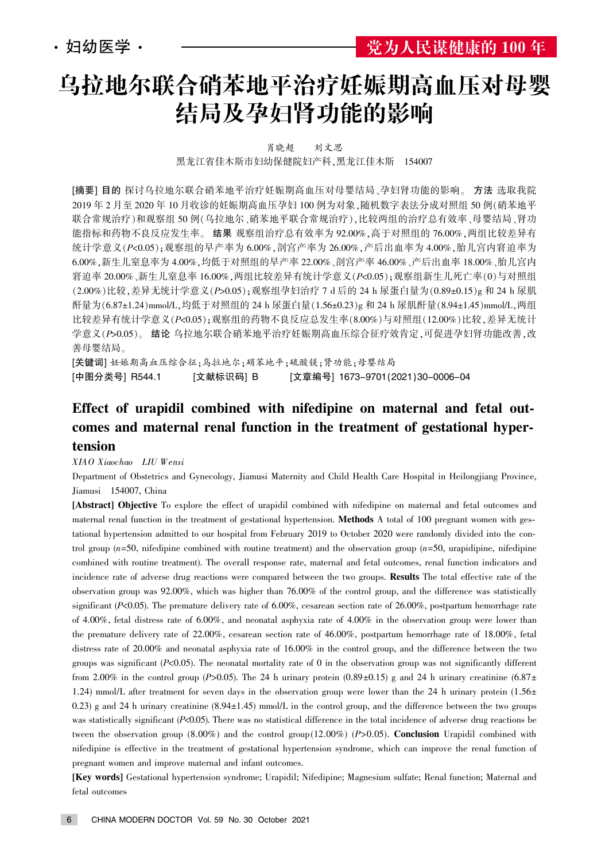# 乌拉地尔联合硝苯地平治疗妊娠期高血压对母婴 结局及孕妇肾功能的影响

肖晓超 刘文思

黑龙江省佳木斯市妇幼保健院妇产科,黑龙江佳木斯 154007

[摘要] 目的 探讨乌拉地尔联合硝苯地平治疗妊娠期高血压对母婴结局、孕妇肾功能的影响。 方法 选取我院 2019 年 2 月至 2020 年 10 月收诊的妊娠期高血压孕妇 100 例为对象,随机数字表法分成对照组 50 例(硝苯地平 联合常规治疗)和观察组 50 例(乌拉地尔、硝苯地平联合常规治疗),比较两组的治疗总有效率、母婴结局、肾功 能指标和药物不良反应发生率。结果 观察组治疗总有效率为 92.00%,高于对照组的 76.00%,两组比较差异有 统计学意义 $(P< 0.05)$ ;观察组的早产率为 6.00%,剖宫产率为 26.00%,产后出血率为 4.00%,胎儿宫内窘迫率为 6.00%, 新生儿窒息率为 4.00%, 均低于对照组的早产率 22.00%、剖宫产率 46.00%、产后出血率 18.00%、胎儿宫内 窘迫率 20.00%、新生儿窒息率 16.00%,两组比较差异有统计学意义( $P$ <0.05);观察组新生儿死亡率(0)与对照组  $(2.00\%)$ 比较,差异无统计学意义 $(P>0.05)$ ;观察组孕妇治疗 7 d 后的 24 h 尿蛋白量为 $(0.89\pm0.15)$ g 和 24 h 尿肌 酐量为(6.87±1.24)mmol/L,均低于对照组的 24 h 尿蛋白量(1.56±0.23)g 和 24 h 尿肌酐量(8.94±1.45)mmol/L,两组 比较差异有统计学意义(P<0.05);观察组的药物不良反应总发生率(8.00%)与对照组(12.00%)比较,差异无统计 学意义(P>0.05)。结论 乌拉地尔联合硝苯地平治疗妊娠期高血压综合征疗效肯定,可促进孕妇肾功能改善,改 善母婴结局。

[关键词] 妊娠期高血压综合征;乌拉地尔;硝苯地平;硫酸镁;肾功能;母婴结局 [中图分类号] R544.1 [文献标识码] B [文章编号] 1673-9701(2021)30-0006-04

### Effect of urapidil combined with nifedipine on maternal and fetal outcomes and maternal renal function in the treatment of gestational hypertension

XIAO Xiaochao LIU Wensi

Department of Obstetrics and Gynecology, Jiamusi Maternity and Child Health Care Hospital in Heilongjiang Province, Jiamusi 154007, China

[Abstract] Objective To explore the effect of urapidil combined with nifedipine on maternal and fetal outcomes and maternal renal function in the treatment of gestational hypertension. Methods A total of 100 pregnant women with gestational hypertension admitted to our hospital from February 2019 to October 2020 were randomly divided into the control group  $(n=50, nifedipine combined with routine treatment)$  and the observation group  $(n=50, nifedipine)$ combined with routine treatment). The overall response rate, maternal and fetal outcomes, renal function indicators and incidence rate of adverse drug reactions were compared between the two groups. Results The total effective rate of the observation group was 92.00%, which was higher than 76.00% of the control group, and the difference was statistically significant (P<0.05). The premature delivery rate of 6.00%, cesarean section rate of 26.00%, postpartum hemorrhage rate of 4.00%, fetal distress rate of 6.00%, and neonatal asphyxia rate of 4.00% in the observation group were lower than the premature delivery rate of 22.00%, cesarean section rate of 46.00%, postpartum hemorrhage rate of 18.00%, fetal distress rate of 20.00% and neonatal asphyxia rate of 16.00% in the control group, and the difference between the two groups was significant  $(P<0.05)$ . The neonatal mortality rate of 0 in the observation group was not significantly different from 2.00% in the control group (P>0.05). The 24 h urinary protein  $(0.89 \pm 0.15)$  g and 24 h urinary creatinine  $(6.87 \pm 0.05)$ 1.24) mmol/L after treatment for seven days in the observation group were lower than the 24 h urinary protein  $(1.56 \pm 1.56 \pm 1.56 \pm 1.56 \pm 1.56 \pm 1.56 \pm 1.56 \pm 1.56 \pm 1.56 \pm 1.56 \pm 1.56 \pm 1.56 \pm 1.56 \pm 1.56 \pm 1.56 \pm 1.56$ 0.23) g and 24 h urinary creatinine  $(8.94 \pm 1.45)$  mmol/L in the control group, and the difference between the two groups was statistically significant  $(P<0.05)$ . There was no statistical difference in the total incidence of adverse drug reactions be tween the observation group (8.00%) and the control group(12.00%) (P>0.05). Conclusion Urapidil combined with nifedipine is effective in the treatment of gestational hypertension syndrome, which can improve the renal function of pregnant women and improve maternal and infant outcomes.

[Key words] Gestational hypertension syndrome; Urapidil; Nifedipine; Magnesium sulfate; Renal function; Maternal and fetal outcomes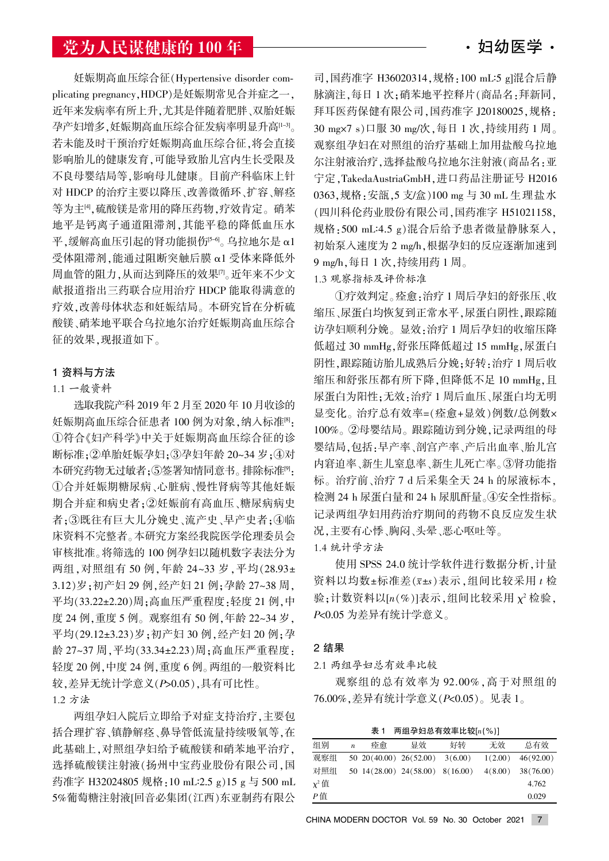## 党为人民谋健康的 100 年 窑妇幼医学窑

妊娠期高血压综合征(Hypertensive disorder complicating pregnancy, HDCP)是妊娠期常见合并症之一, 近年来发病率有所上升,尤其是伴随着肥胖、双胎妊娠 孕产妇增多,妊娠期高血压综合征发病率明显升高[1-3]。 若未能及时干预治疗妊娠期高血压综合征,将会直接 影响胎儿的健康发育,可能导致胎儿宫内生长受限及 不良母婴结局等,影响母儿健康。目前产科临床上针 对 HDCP 的治疗主要以降压、改善微循环、扩容、解痉 等为主[4].硫酸镁是常用的降压药物,疗效肯定。硝苯 地平是钙离子通道阻滞剂,其能平稳的降低血压水 平.缓解高血压引起的肾功能损伤 $[5-6]$ 。乌拉地尔是 α1 受体阻滞剂,能通过阻断突触后膜 α1 受体来降低外 周血管的阻力,从而达到降压的效果[7]。近年来不少文 献报道指出三药联合应用治疗 HDCP 能取得满意的 疗效,改善母体状态和妊娠结局。本研究旨在分析硫 酸镁、硝苯地平联合乌拉地尔治疗妊娠期高血压综合 征的效果,现报道如下。

#### 1 资料与方法

#### 1.1 一般资料

选取我院产科 2019 年 2 月至 2020 年 10 月收诊的 妊娠期高血压综合征患者 100 例为对象, 纳入标准<sup>[8]</sup>: 淤符合叶妇产科学曳中关于妊娠期高血压综合征的诊 断标准;②单胎妊娠孕妇;③孕妇年龄 20~34 岁;④对 本研究药物无过敏者;5签署知情同意书。排除标准<sup>[9]</sup>: ①合并妊娠期糖尿病、心脏病、慢性肾病等其他妊娠 期合并症和病史者:20妊娠前有高血压、糖尿病病史 者;3既往有巨大儿分娩史、流产史、早产史者;4临 床资料不完整者。本研究方案经我院医学伦理委员会 审核批准。将筛选的 100 例孕妇以随机数字表法分为 两组, 对照组有 50 例, 年龄 24~33 岁, 平均(28.93± 3.12)岁;初产妇 29 例,经产妇 21 例;孕龄 27~38 周, 平均(33.22±2.20)周;高血压严重程度:轻度 21 例,中 度 24 例, 重度 5 例。观察组有 50 例, 年龄 22~34 岁, 平均(29.12±3.23)岁:初产妇 30 例,经产妇 20 例:孕 龄 27~37 周,平均(33.34±2.23)周;高血压严重程度: 轻度 20 例, 中度 24 例, 重度 6 例。两组的一般资料比 较,差异无统计学意义(P>0.05),具有可比性。

1.2 方法

两组孕妇入院后立即给予对症支持治疗,主要包 括合理扩容、镇静解痉、鼻导管低流量持续吸氧等,在 此基础上,对照组孕妇给予硫酸镁和硝苯地平治疗, 选择硫酸镁注射液(扬州中宝药业股份有限公司,国 药准字 H32024805 规格: 10 mL:2.5 g) 15 g 与 500 mL 5%葡萄糖注射液[回音必集团(江西)东亚制药有限公

司,国药准字 H36020314,规格:100 mL:5 g]混合后静 脉滴注,每日1次;硝苯地平控释片(商品名:拜新同, 拜耳医药保健有限公司,国药准字 J20180025,规格: 30 mg×7 s)口服 30 mg/次,每日 1 次,持续用药 1 周。 观察组孕妇在对照组的治疗基础上加用盐酸乌拉地 尔注射液治疗,选择盐酸乌拉地尔注射液(商品名:亚 宁定, TakedaAustriaGmbH, 进口药品注册证号 H2016 0363, 规格: 安瓿, 5 支/盒) 100 mg 与 30 mL 生理盐水 (四川科伦药业股份有限公司,国药准字 H51021158, 规格: 500 mL: 4.5 g)混合后给予患者微量静脉泵入, 初始泵入速度为 2 mg/h,根据孕妇的反应逐渐加速到 9 mg/h, 每日 1 次, 持续用药 1 周。

#### 1.3 观察指标及评价标准

①疗效判定。痊愈:治疗1周后孕妇的舒张压、收 缩压、尿蛋白均恢复到正常水平,尿蛋白阴性,跟踪随 访孕妇顺利分娩。显效:治疗1周后孕妇的收缩压降 低超过 30 mmHg,舒张压降低超过 15 mmHg,尿蛋白 阴性,跟踪随访胎儿成熟后分娩;好转:治疗 1 周后收 缩压和舒张压都有所下降,但降低不足 10 mmHg,且 尿蛋白为阳性;无效:治疗1周后血压、尿蛋白均无明 显变化。治疗总有效率=(痊愈+显效)例数/总例数× 100%。②母婴结局。跟踪随访到分娩,记录两组的母 婴结局,包括:早产率、剖宫产率、产后出血率、胎儿宫 内窘迫率、新生儿窒息率、新生儿死亡率。③肾功能指 标。治疗前、治疗 7 d 后采集全天 24 h 的尿液标本, 检测 24 h 尿蛋白量和 24 h 尿肌酐量。4安全性指标。 记录两组孕妇用药治疗期间的药物不良反应发生状 况,主要有心悸、胸闷、头晕、恶心呕吐等。 1.4 统计学方法

使用 SPSS 24.0 统计学软件进行数据分析, 计量 资料以均数±标准差(x±s)表示,组间比较采用 t 检 验;计数资料以 $[n(\%)]$ 表示,组间比较采用  $\chi^2$ 检验, P<0.05 为差异有统计学意义。

#### 2 结果

2.1 两组孕妇总有效率比较

观察组的总有效率为 92.00%,高于对照组的 76.00%, 差异有统计学意义 (P<0.05)。见表 1。

表 1 两组孕妇总有效率比较 $[n(\%)]$ 

| 组别         | $\boldsymbol{n}$ | 痊愈 | 显效                                | 好转      | 无效      | 总有效       |
|------------|------------------|----|-----------------------------------|---------|---------|-----------|
| 观察组        |                  |    | $50\ 20(40.00)\ 26(52.00)$        | 3(6.00) | 1(2.00) | 46(92.00) |
| 对照组        |                  |    | 50 $14(28.00)$ 24(58.00) 8(16.00) |         | 4(8.00) | 38(76.00) |
| $\chi^2$ 值 |                  |    |                                   |         |         | 4.762     |
| P値         |                  |    |                                   |         |         | 0.029     |

CHINA MODERN DOCTOR Vol. 59 No. 30 October 2021 7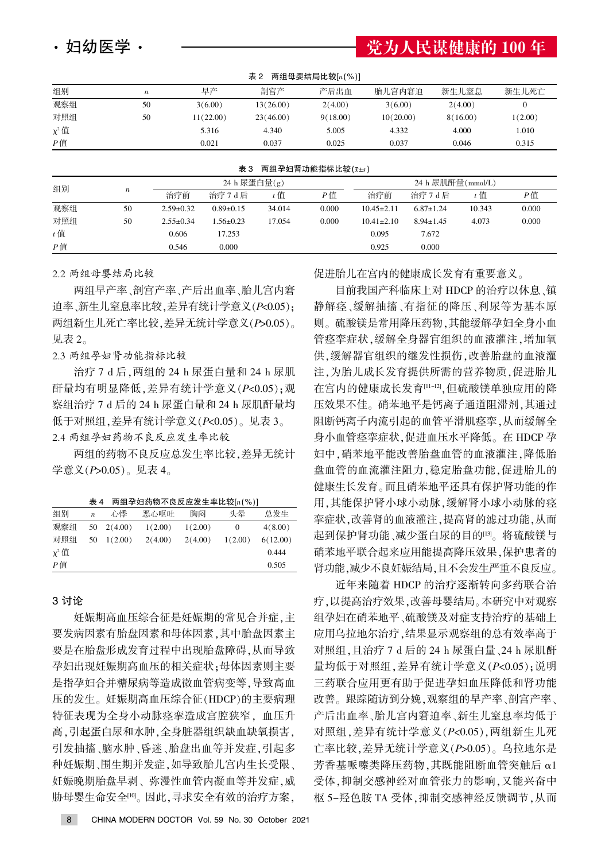| 妇幼医学 |  |  |
|------|--|--|
|------|--|--|

## 党为人民谋健康的 100 年

| 两组母婴结局比较[n(%)]<br>表 2 |                         |           |           |          |           |          |         |  |  |
|-----------------------|-------------------------|-----------|-----------|----------|-----------|----------|---------|--|--|
| 组别                    | $\boldsymbol{n}$        | 早产        | 剖宫产       | 产后出血     | 胎儿宫内窘迫    | 新生儿窒息    | 新生儿死亡   |  |  |
| 观察组                   | 50                      | 3(6.00)   | 13(26.00) | 2(4.00)  | 3(6.00)   | 2(4.00)  | 0       |  |  |
| 对照组                   | 50                      | 11(22.00) | 23(46.00) | 9(18.00) | 10(20.00) | 8(16.00) | 1(2.00) |  |  |
| $\chi^2$ 值            |                         | 5.316     | 4.340     | 5.005    | 4.332     | 4.000    | 1.010   |  |  |
| P值                    |                         | 0.021     | 0.037     | 0.025    | 0.037     | 0.046    | 0.315   |  |  |
|                       |                         |           |           |          |           |          |         |  |  |
|                       | 两组孕妇肾功能指标比较(x±s)<br>表 3 |           |           |          |           |          |         |  |  |

| 组别    |                  |                 | 24 h 尿蛋白量(g)    |        |       | 24 h 尿肌酐量(mmol/L) |                 |        |       |
|-------|------------------|-----------------|-----------------|--------|-------|-------------------|-----------------|--------|-------|
|       | $\boldsymbol{n}$ | 治疗前             | 治疗 7 d 后        | t 值    | P值    | 治疗前               | 治疗 7 d 后        | t 值    | P值    |
| 观察组   | 50               | $2.59 \pm 0.32$ | $0.89 \pm 0.15$ | 34.014 | 0.000 | $10.45 \pm 2.11$  | $6.87 \pm 1.24$ | 10.343 | 0.000 |
| 对照组   | 50               | $2.55 \pm 0.34$ | $1.56 \pm 0.23$ | 17.054 | 0.000 | $10.41 \pm 2.10$  | $8.94 \pm 1.45$ | 4.073  | 0.000 |
| $t$ 值 |                  | 0.606           | 17.253          |        |       | 0.095             | 7.672           |        |       |
| $P$ 值 |                  | 0.546           | 0.000           |        |       | 0.925             | 0.000           |        |       |

2.2 两组母婴结局比较

两组早产率、剖宫产率、产后出血率、胎儿宫内窘 迫率、新生儿窒息率比较, 差异有统计学意义 (P<0.05): 两组新生儿死亡率比较, 差异无统计学意义(P>0.05)。 见表 2。

2.3 两组孕妇肾功能指标比较

治疗 7 d 后, 两组的 24 h 尿蛋白量和 24 h 尿肌 酐量均有明显降低,差异有统计学意义(P<0.05);观 察组治疗 7 d 后的 24 h 尿蛋白量和 24 h 尿肌酐量均 低于对照组, 差异有统计学意义 (P<0.05)。见表 3。 2.4 两组孕妇药物不良反应发生率比较

两组的药物不良反应总发生率比较, 差异无统计 学意义 $(P>0.05)$ 。见表 4。

|  | 表 4 两组孕妇药物不良反应发生率比较[ $n$ (%)] |
|--|-------------------------------|
|--|-------------------------------|

| 组别         | $\boldsymbol{n}$ | 心悸      | 恶心呕吐    | 胸闷      | 头晕      | 总发生      |
|------------|------------------|---------|---------|---------|---------|----------|
| 观察组        | 50               | 2(4.00) | 1(2.00) | 1(2.00) | $^{0}$  | 4(8.00)  |
| 对照组        | 50               | 1(2.00) | 2(4.00) | 2(4.00) | 1(2.00) | 6(12.00) |
| $\chi^2$ 值 |                  |         |         |         |         | 0.444    |
| Р值         |                  |         |         |         |         | 0.505    |

#### 3 讨论

妊娠期高血压综合征是妊娠期的常见合并症,主 要发病因素有胎盘因素和母体因素, 其中胎盘因素主 要是在胎盘形成发育过程中出现胎盘障碍,从而导致 孕妇出现妊娠期高血压的相关症状:母体因素则主要 是指孕妇合并糖尿病等造成微血管病变等,导致高血 压的发生。妊娠期高血压综合征(HDCP)的主要病理 特征表现为全身小动脉痉挛造成宫腔狭窄, 血压升 高,引起蛋白尿和水肿,全身脏器组织缺血缺氧损害, 引发抽搐、脑水肿、昏迷、胎盘出血等并发症,引起多 种妊娠期、围生期并发症,如导致胎儿宫内生长受限、 妊娠晚期胎盘早剥、弥漫性血管内凝血等并发症,威 胁母婴生命安全[10]。因此,寻求安全有效的治疗方案,

促进胎儿在宫内的健康成长发育有重要意义。

目前我国产科临床上对 HDCP 的治疗以休息、镇 静解痉、缓解抽搐、有指征的降压、利尿等为基本原 则。硫酸镁是常用降压药物,其能缓解孕妇全身小血 管痉挛症状,缓解全身器官组织的血液灌注,增加氧 供,缓解器官组织的继发性损伤,改善胎盘的血液灌 注,为胎儿成长发育提供所需的营养物质,促进胎儿 在宫内的健康成长发育[11-12],但硫酸镁单独应用的降 压效果不佳。硝苯地平是钙离子通道阻滞剂,其通过 阻断钙离子内流引起的血管平滑肌痉挛,从而缓解全 身小血管痉挛症状,促进血压水平降低。在 HDCP 孕 妇中,硝苯地平能改善胎盘血管的血液灌注,降低胎 盘血管的血流灌注阻力,稳定胎盘功能,促进胎儿的 健康生长发育。而且硝苯地平还具有保护肾功能的作 用,其能保护肾小球小动脉,缓解肾小球小动脉的痉 挛症状,改善肾的血液灌注,提高肾的滤过功能,从而 起到保护肾功能、减少蛋白尿的目的[13]。将硫酸镁与 硝苯地平联合起来应用能提高降压效果,保护患者的 肾功能,减少不良妊娠结局,且不会发生严重不良反应。

近年来随着 HDCP 的治疗逐渐转向多药联合治 疗.以提高治疗效果.改善母婴结局。本研究中对观察 组孕妇在硝苯地平、硫酸镁及对症支持治疗的基础上 应用乌拉地尔治疗,结果显示观察组的总有效率高于 对照组,且治疗 7 d 后的 24 h 尿蛋白量、24 h 尿肌酐 量均低于对照组, 差异有统计学意义(P<0.05): 说明 三药联合应用更有助于促进孕妇血压降低和肾功能 改善。跟踪随访到分娩,观察组的早产率、剖宫产率、 产后出血率、胎儿宫内窘迫率、新生儿窒息率均低于 对照组, 差异有统计学意义(P<0.05), 两组新生儿死 亡率比较, 差异无统计学意义 (P>0.05)。乌拉地尔是 芳香基哌嗪类降压药物,其既能阻断血管突触后 α1 受体,抑制交感神经对血管张力的影响,又能兴奋中 枢 5-羟色胺 TA 受体, 抑制交感神经反馈调节, 从而